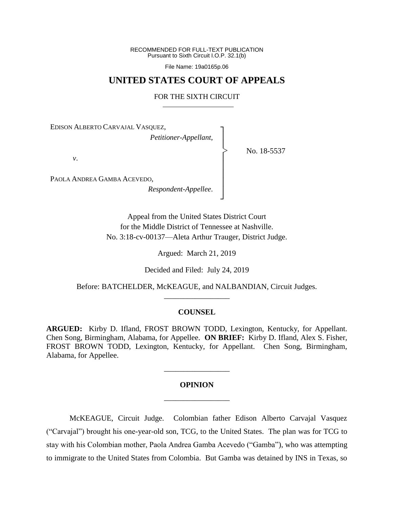RECOMMENDED FOR FULL-TEXT PUBLICATION Pursuant to Sixth Circuit I.O.P. 32.1(b)

File Name: 19a0165p.06

# **UNITED STATES COURT OF APPEALS**

# FOR THE SIXTH CIRCUIT

┐ │ │ │ │ │ │ │ ┘

|<br>|<br>|

No. 18-5537

EDISON ALBERTO CARVAJAL VASQUEZ,

*Petitioner-Appellant*,

*v*.

PAOLA ANDREA GAMBA ACEVEDO,

*Respondent-Appellee*.

Appeal from the United States District Court for the Middle District of Tennessee at Nashville. No. 3:18-cv-00137—Aleta Arthur Trauger, District Judge.

Argued: March 21, 2019

Decided and Filed: July 24, 2019

Before: BATCHELDER, McKEAGUE, and NALBANDIAN, Circuit Judges. \_\_\_\_\_\_\_\_\_\_\_\_\_\_\_\_\_

### **COUNSEL**

**ARGUED:** Kirby D. Ifland, FROST BROWN TODD, Lexington, Kentucky, for Appellant. Chen Song, Birmingham, Alabama, for Appellee. **ON BRIEF:** Kirby D. Ifland, Alex S. Fisher, FROST BROWN TODD, Lexington, Kentucky, for Appellant. Chen Song, Birmingham, Alabama, for Appellee.

# **OPINION** \_\_\_\_\_\_\_\_\_\_\_\_\_\_\_\_\_

\_\_\_\_\_\_\_\_\_\_\_\_\_\_\_\_\_

McKEAGUE, Circuit Judge. Colombian father Edison Alberto Carvajal Vasquez ("Carvajal") brought his one-year-old son, TCG, to the United States. The plan was for TCG to stay with his Colombian mother, Paola Andrea Gamba Acevedo ("Gamba"), who was attempting to immigrate to the United States from Colombia. But Gamba was detained by INS in Texas, so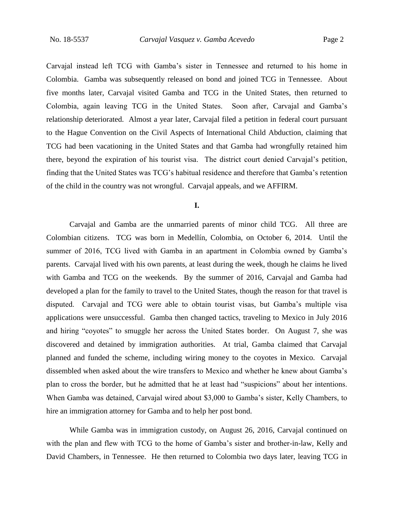Carvajal instead left TCG with Gamba's sister in Tennessee and returned to his home in Colombia. Gamba was subsequently released on bond and joined TCG in Tennessee. About five months later, Carvajal visited Gamba and TCG in the United States, then returned to Colombia, again leaving TCG in the United States. Soon after, Carvajal and Gamba's relationship deteriorated. Almost a year later, Carvajal filed a petition in federal court pursuant to the Hague Convention on the Civil Aspects of International Child Abduction, claiming that TCG had been vacationing in the United States and that Gamba had wrongfully retained him there, beyond the expiration of his tourist visa. The district court denied Carvajal's petition, finding that the United States was TCG's habitual residence and therefore that Gamba's retention of the child in the country was not wrongful. Carvajal appeals, and we AFFIRM.

### **I.**

Carvajal and Gamba are the unmarried parents of minor child TCG. All three are Colombian citizens. TCG was born in Medellín, Colombia, on October 6, 2014. Until the summer of 2016, TCG lived with Gamba in an apartment in Colombia owned by Gamba's parents. Carvajal lived with his own parents, at least during the week, though he claims he lived with Gamba and TCG on the weekends. By the summer of 2016, Carvajal and Gamba had developed a plan for the family to travel to the United States, though the reason for that travel is disputed. Carvajal and TCG were able to obtain tourist visas, but Gamba's multiple visa applications were unsuccessful. Gamba then changed tactics, traveling to Mexico in July 2016 and hiring "coyotes" to smuggle her across the United States border. On August 7, she was discovered and detained by immigration authorities. At trial, Gamba claimed that Carvajal planned and funded the scheme, including wiring money to the coyotes in Mexico. Carvajal dissembled when asked about the wire transfers to Mexico and whether he knew about Gamba's plan to cross the border, but he admitted that he at least had "suspicions" about her intentions. When Gamba was detained, Carvajal wired about \$3,000 to Gamba's sister, Kelly Chambers, to hire an immigration attorney for Gamba and to help her post bond.

While Gamba was in immigration custody, on August 26, 2016, Carvajal continued on with the plan and flew with TCG to the home of Gamba's sister and brother-in-law, Kelly and David Chambers, in Tennessee. He then returned to Colombia two days later, leaving TCG in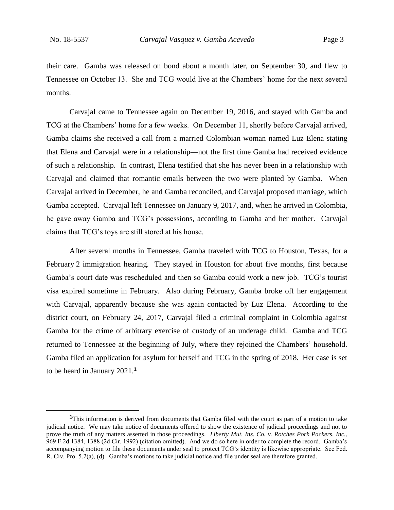their care. Gamba was released on bond about a month later, on September 30, and flew to Tennessee on October 13. She and TCG would live at the Chambers' home for the next several months.

Carvajal came to Tennessee again on December 19, 2016, and stayed with Gamba and TCG at the Chambers' home for a few weeks. On December 11, shortly before Carvajal arrived, Gamba claims she received a call from a married Colombian woman named Luz Elena stating that Elena and Carvajal were in a relationship—not the first time Gamba had received evidence of such a relationship. In contrast, Elena testified that she has never been in a relationship with Carvajal and claimed that romantic emails between the two were planted by Gamba. When Carvajal arrived in December, he and Gamba reconciled, and Carvajal proposed marriage, which Gamba accepted. Carvajal left Tennessee on January 9, 2017, and, when he arrived in Colombia, he gave away Gamba and TCG's possessions, according to Gamba and her mother. Carvajal claims that TCG's toys are still stored at his house.

After several months in Tennessee, Gamba traveled with TCG to Houston, Texas, for a February 2 immigration hearing. They stayed in Houston for about five months, first because Gamba's court date was rescheduled and then so Gamba could work a new job. TCG's tourist visa expired sometime in February. Also during February, Gamba broke off her engagement with Carvajal, apparently because she was again contacted by Luz Elena. According to the district court, on February 24, 2017, Carvajal filed a criminal complaint in Colombia against Gamba for the crime of arbitrary exercise of custody of an underage child. Gamba and TCG returned to Tennessee at the beginning of July, where they rejoined the Chambers' household. Gamba filed an application for asylum for herself and TCG in the spring of 2018. Her case is set to be heard in January 2021.**<sup>1</sup>**

**<sup>1</sup>**This information is derived from documents that Gamba filed with the court as part of a motion to take judicial notice. We may take notice of documents offered to show the existence of judicial proceedings and not to prove the truth of any matters asserted in those proceedings. *Liberty Mut. Ins. Co. v. Rotches Pork Packers, Inc.*, 969 F.2d 1384, 1388 (2d Cir. 1992) (citation omitted). And we do so here in order to complete the record. Gamba's accompanying motion to file these documents under seal to protect TCG's identity is likewise appropriate. See Fed. R. Civ. Pro. 5.2(a), (d). Gamba's motions to take judicial notice and file under seal are therefore granted.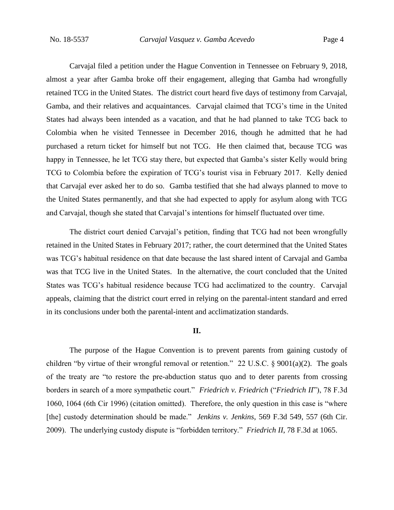Carvajal filed a petition under the Hague Convention in Tennessee on February 9, 2018, almost a year after Gamba broke off their engagement, alleging that Gamba had wrongfully retained TCG in the United States. The district court heard five days of testimony from Carvajal, Gamba, and their relatives and acquaintances. Carvajal claimed that TCG's time in the United States had always been intended as a vacation, and that he had planned to take TCG back to Colombia when he visited Tennessee in December 2016, though he admitted that he had purchased a return ticket for himself but not TCG. He then claimed that, because TCG was happy in Tennessee, he let TCG stay there, but expected that Gamba's sister Kelly would bring TCG to Colombia before the expiration of TCG's tourist visa in February 2017. Kelly denied that Carvajal ever asked her to do so. Gamba testified that she had always planned to move to the United States permanently, and that she had expected to apply for asylum along with TCG and Carvajal, though she stated that Carvajal's intentions for himself fluctuated over time.

The district court denied Carvajal's petition, finding that TCG had not been wrongfully retained in the United States in February 2017; rather, the court determined that the United States was TCG's habitual residence on that date because the last shared intent of Carvajal and Gamba was that TCG live in the United States. In the alternative, the court concluded that the United States was TCG's habitual residence because TCG had acclimatized to the country. Carvajal appeals, claiming that the district court erred in relying on the parental-intent standard and erred in its conclusions under both the parental-intent and acclimatization standards.

# **II.**

The purpose of the Hague Convention is to prevent parents from gaining custody of children "by virtue of their wrongful removal or retention." 22 U.S.C.  $\S$  9001(a)(2). The goals of the treaty are "to restore the pre-abduction status quo and to deter parents from crossing borders in search of a more sympathetic court." *Friedrich v. Friedrich* ("*Friedrich II*"), 78 F.3d 1060, 1064 (6th Cir 1996) (citation omitted). Therefore, the only question in this case is "where [the] custody determination should be made." *Jenkins v. Jenkins*, 569 F.3d 549, 557 (6th Cir. 2009). The underlying custody dispute is "forbidden territory." *Friedrich II*, 78 F.3d at 1065.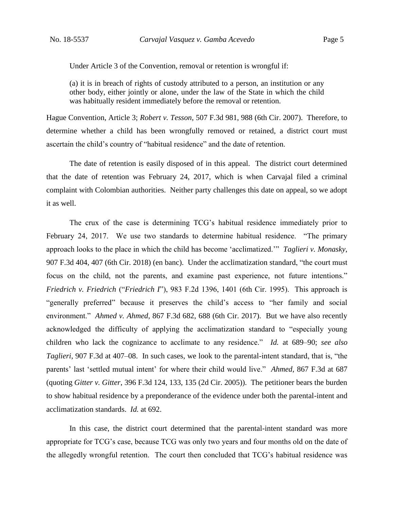Under Article 3 of the Convention, removal or retention is wrongful if:

(a) it is in breach of rights of custody attributed to a person, an institution or any other body, either jointly or alone, under the law of the State in which the child was habitually resident immediately before the removal or retention.

Hague Convention, Article 3; *Robert v. Tesson*, 507 F.3d 981, 988 (6th Cir. 2007). Therefore, to determine whether a child has been wrongfully removed or retained, a district court must ascertain the child's country of "habitual residence" and the date of retention.

The date of retention is easily disposed of in this appeal. The district court determined that the date of retention was February 24, 2017, which is when Carvajal filed a criminal complaint with Colombian authorities. Neither party challenges this date on appeal, so we adopt it as well.

The crux of the case is determining TCG's habitual residence immediately prior to February 24, 2017. We use two standards to determine habitual residence. "The primary approach looks to the place in which the child has become 'acclimatized.'" *Taglieri v. Monasky*, 907 F.3d 404, 407 (6th Cir. 2018) (en banc). Under the acclimatization standard, "the court must focus on the child, not the parents, and examine past experience, not future intentions." *Friedrich v. Friedrich* ("*Friedrich I*"), 983 F.2d 1396, 1401 (6th Cir. 1995). This approach is "generally preferred" because it preserves the child's access to "her family and social environment." *Ahmed v. Ahmed*, 867 F.3d 682, 688 (6th Cir. 2017). But we have also recently acknowledged the difficulty of applying the acclimatization standard to "especially young children who lack the cognizance to acclimate to any residence." *Id.* at 689–90; *see also Taglieri*, 907 F.3d at 407–08. In such cases, we look to the parental-intent standard, that is, "the parents' last 'settled mutual intent' for where their child would live." *Ahmed*, 867 F.3d at 687 (quoting *Gitter v. Gitter*, 396 F.3d 124, 133, 135 (2d Cir. 2005)). The petitioner bears the burden to show habitual residence by a preponderance of the evidence under both the parental-intent and acclimatization standards. *Id.* at 692.

In this case, the district court determined that the parental-intent standard was more appropriate for TCG's case, because TCG was only two years and four months old on the date of the allegedly wrongful retention. The court then concluded that TCG's habitual residence was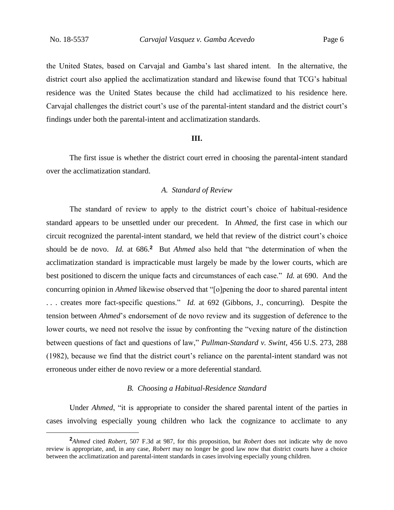the United States, based on Carvajal and Gamba's last shared intent. In the alternative, the district court also applied the acclimatization standard and likewise found that TCG's habitual residence was the United States because the child had acclimatized to his residence here. Carvajal challenges the district court's use of the parental-intent standard and the district court's findings under both the parental-intent and acclimatization standards.

# **III.**

The first issue is whether the district court erred in choosing the parental-intent standard over the acclimatization standard.

### *A. Standard of Review*

The standard of review to apply to the district court's choice of habitual-residence standard appears to be unsettled under our precedent. In *Ahmed*, the first case in which our circuit recognized the parental-intent standard, we held that review of the district court's choice should be de novo. *Id.* at 686.**<sup>2</sup>** But *Ahmed* also held that "the determination of when the acclimatization standard is impracticable must largely be made by the lower courts, which are best positioned to discern the unique facts and circumstances of each case." *Id.* at 690. And the concurring opinion in *Ahmed* likewise observed that "[o]pening the door to shared parental intent . . . creates more fact-specific questions." *Id.* at 692 (Gibbons, J., concurring). Despite the tension between *Ahmed*'s endorsement of de novo review and its suggestion of deference to the lower courts, we need not resolve the issue by confronting the "vexing nature of the distinction between questions of fact and questions of law," *Pullman-Standard v. Swint*, 456 U.S. 273, 288 (1982), because we find that the district court's reliance on the parental-intent standard was not erroneous under either de novo review or a more deferential standard.

# *B. Choosing a Habitual-Residence Standard*

Under *Ahmed*, "it is appropriate to consider the shared parental intent of the parties in cases involving especially young children who lack the cognizance to acclimate to any

**<sup>2</sup>***Ahmed* cited *Robert*, 507 F.3d at 987, for this proposition, but *Robert* does not indicate why de novo review is appropriate, and, in any case, *Robert* may no longer be good law now that district courts have a choice between the acclimatization and parental-intent standards in cases involving especially young children.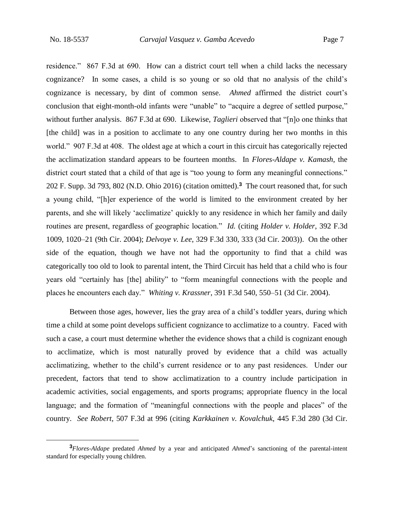residence." 867 F.3d at 690. How can a district court tell when a child lacks the necessary cognizance? In some cases, a child is so young or so old that no analysis of the child's cognizance is necessary, by dint of common sense. *Ahmed* affirmed the district court's conclusion that eight-month-old infants were "unable" to "acquire a degree of settled purpose," without further analysis. 867 F.3d at 690. Likewise, *Taglieri* observed that "[n]o one thinks that [the child] was in a position to acclimate to any one country during her two months in this world." 907 F.3d at 408. The oldest age at which a court in this circuit has categorically rejected the acclimatization standard appears to be fourteen months. In *Flores-Aldape v. Kamash*, the district court stated that a child of that age is "too young to form any meaningful connections." 202 F. Supp. 3d 793, 802 (N.D. Ohio 2016) (citation omitted).**<sup>3</sup>** The court reasoned that, for such a young child, "[h]er experience of the world is limited to the environment created by her parents, and she will likely 'acclimatize' quickly to any residence in which her family and daily routines are present, regardless of geographic location." *Id.* (citing *Holder v. Holder*, 392 F.3d 1009, 1020–21 (9th Cir. 2004); *Delvoye v. Lee*, 329 F.3d 330, 333 (3d Cir. 2003)). On the other side of the equation, though we have not had the opportunity to find that a child was categorically too old to look to parental intent, the Third Circuit has held that a child who is four years old "certainly has [the] ability" to "form meaningful connections with the people and places he encounters each day." *Whiting v. Krassner*, 391 F.3d 540, 550–51 (3d Cir. 2004).

Between those ages, however, lies the gray area of a child's toddler years, during which time a child at some point develops sufficient cognizance to acclimatize to a country. Faced with such a case, a court must determine whether the evidence shows that a child is cognizant enough to acclimatize, which is most naturally proved by evidence that a child was actually acclimatizing, whether to the child's current residence or to any past residences. Under our precedent, factors that tend to show acclimatization to a country include participation in academic activities, social engagements, and sports programs; appropriate fluency in the local language; and the formation of "meaningful connections with the people and places" of the country. *See Robert*, 507 F.3d at 996 (citing *Karkkainen v. Kovalchuk*, 445 F.3d 280 (3d Cir.

**<sup>3</sup>***Flores-Aldape* predated *Ahmed* by a year and anticipated *Ahmed*'s sanctioning of the parental-intent standard for especially young children.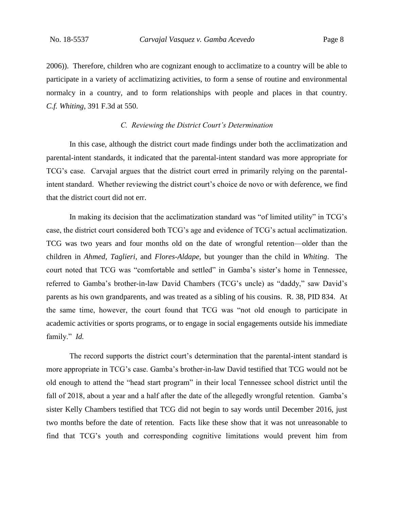2006)). Therefore, children who are cognizant enough to acclimatize to a country will be able to participate in a variety of acclimatizing activities, to form a sense of routine and environmental normalcy in a country, and to form relationships with people and places in that country. *C.f. Whiting*, 391 F.3d at 550.

# *C. Reviewing the District Court's Determination*

In this case, although the district court made findings under both the acclimatization and parental-intent standards, it indicated that the parental-intent standard was more appropriate for TCG's case. Carvajal argues that the district court erred in primarily relying on the parentalintent standard. Whether reviewing the district court's choice de novo or with deference, we find that the district court did not err.

In making its decision that the acclimatization standard was "of limited utility" in TCG's case, the district court considered both TCG's age and evidence of TCG's actual acclimatization. TCG was two years and four months old on the date of wrongful retention—older than the children in *Ahmed*, *Taglieri*, and *Flores-Aldape*, but younger than the child in *Whiting*. The court noted that TCG was "comfortable and settled" in Gamba's sister's home in Tennessee, referred to Gamba's brother-in-law David Chambers (TCG's uncle) as "daddy," saw David's parents as his own grandparents, and was treated as a sibling of his cousins. R. 38, PID 834. At the same time, however, the court found that TCG was "not old enough to participate in academic activities or sports programs, or to engage in social engagements outside his immediate family." *Id.*

The record supports the district court's determination that the parental-intent standard is more appropriate in TCG's case. Gamba's brother-in-law David testified that TCG would not be old enough to attend the "head start program" in their local Tennessee school district until the fall of 2018, about a year and a half after the date of the allegedly wrongful retention. Gamba's sister Kelly Chambers testified that TCG did not begin to say words until December 2016, just two months before the date of retention. Facts like these show that it was not unreasonable to find that TCG's youth and corresponding cognitive limitations would prevent him from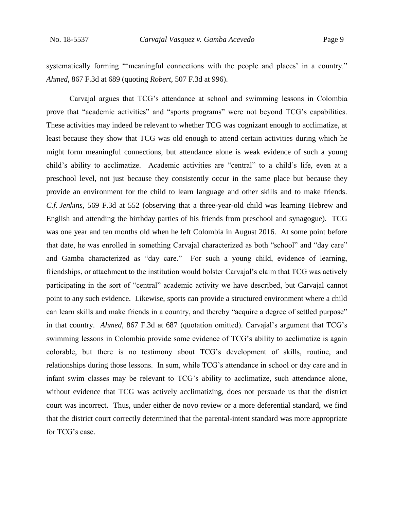systematically forming "'meaningful connections with the people and places' in a country." *Ahmed*, 867 F.3d at 689 (quoting *Robert*, 507 F.3d at 996).

Carvajal argues that TCG's attendance at school and swimming lessons in Colombia prove that "academic activities" and "sports programs" were not beyond TCG's capabilities. These activities may indeed be relevant to whether TCG was cognizant enough to acclimatize, at least because they show that TCG was old enough to attend certain activities during which he might form meaningful connections, but attendance alone is weak evidence of such a young child's ability to acclimatize. Academic activities are "central" to a child's life, even at a preschool level, not just because they consistently occur in the same place but because they provide an environment for the child to learn language and other skills and to make friends. *C.f. Jenkins*, 569 F.3d at 552 (observing that a three-year-old child was learning Hebrew and English and attending the birthday parties of his friends from preschool and synagogue). TCG was one year and ten months old when he left Colombia in August 2016. At some point before that date, he was enrolled in something Carvajal characterized as both "school" and "day care" and Gamba characterized as "day care." For such a young child, evidence of learning, friendships, or attachment to the institution would bolster Carvajal's claim that TCG was actively participating in the sort of "central" academic activity we have described, but Carvajal cannot point to any such evidence. Likewise, sports can provide a structured environment where a child can learn skills and make friends in a country, and thereby "acquire a degree of settled purpose" in that country. *Ahmed*, 867 F.3d at 687 (quotation omitted). Carvajal's argument that TCG's swimming lessons in Colombia provide some evidence of TCG's ability to acclimatize is again colorable, but there is no testimony about TCG's development of skills, routine, and relationships during those lessons. In sum, while TCG's attendance in school or day care and in infant swim classes may be relevant to TCG's ability to acclimatize, such attendance alone, without evidence that TCG was actively acclimatizing, does not persuade us that the district court was incorrect. Thus, under either de novo review or a more deferential standard, we find that the district court correctly determined that the parental-intent standard was more appropriate for TCG's case.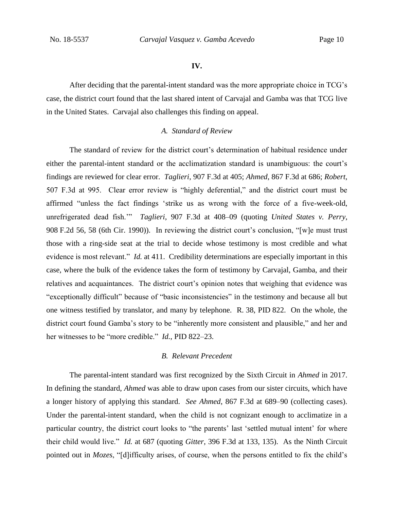#### **IV.**

After deciding that the parental-intent standard was the more appropriate choice in TCG's case, the district court found that the last shared intent of Carvajal and Gamba was that TCG live in the United States. Carvajal also challenges this finding on appeal.

# *A. Standard of Review*

The standard of review for the district court's determination of habitual residence under either the parental-intent standard or the acclimatization standard is unambiguous: the court's findings are reviewed for clear error. *Taglieri*, 907 F.3d at 405; *Ahmed*, 867 F.3d at 686; *Robert*, 507 F.3d at 995. Clear error review is "highly deferential," and the district court must be affirmed "unless the fact findings 'strike us as wrong with the force of a five-week-old, unrefrigerated dead fish.'" *Taglieri*, 907 F.3d at 408–09 (quoting *United States v. Perry*, 908 F.2d 56, 58 (6th Cir. 1990)). In reviewing the district court's conclusion, "[w]e must trust those with a ring-side seat at the trial to decide whose testimony is most credible and what evidence is most relevant." *Id.* at 411. Credibility determinations are especially important in this case, where the bulk of the evidence takes the form of testimony by Carvajal, Gamba, and their relatives and acquaintances. The district court's opinion notes that weighing that evidence was "exceptionally difficult" because of "basic inconsistencies" in the testimony and because all but one witness testified by translator, and many by telephone. R. 38, PID 822. On the whole, the district court found Gamba's story to be "inherently more consistent and plausible," and her and her witnesses to be "more credible." *Id.*, PID 822–23.

### *B. Relevant Precedent*

The parental-intent standard was first recognized by the Sixth Circuit in *Ahmed* in 2017. In defining the standard, *Ahmed* was able to draw upon cases from our sister circuits, which have a longer history of applying this standard. *See Ahmed*, 867 F.3d at 689–90 (collecting cases). Under the parental-intent standard, when the child is not cognizant enough to acclimatize in a particular country, the district court looks to "the parents' last 'settled mutual intent' for where their child would live." *Id.* at 687 (quoting *Gitter*, 396 F.3d at 133, 135). As the Ninth Circuit pointed out in *Mozes*, "[d]ifficulty arises, of course, when the persons entitled to fix the child's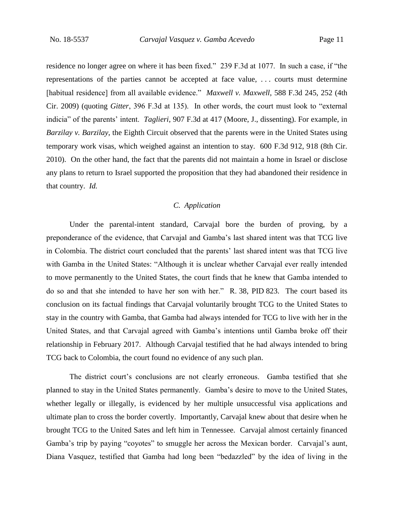residence no longer agree on where it has been fixed." 239 F.3d at 1077. In such a case, if "the representations of the parties cannot be accepted at face value, . . . courts must determine [habitual residence] from all available evidence." *Maxwell v. Maxwell*, 588 F.3d 245, 252 (4th Cir. 2009) (quoting *Gitter*, 396 F.3d at 135). In other words, the court must look to "external indicia" of the parents' intent. *Taglieri*, 907 F.3d at 417 (Moore, J., dissenting). For example, in *Barzilay v. Barzilay*, the Eighth Circuit observed that the parents were in the United States using temporary work visas, which weighed against an intention to stay. 600 F.3d 912, 918 (8th Cir. 2010). On the other hand, the fact that the parents did not maintain a home in Israel or disclose any plans to return to Israel supported the proposition that they had abandoned their residence in that country. *Id.*

# *C. Application*

Under the parental-intent standard, Carvajal bore the burden of proving, by a preponderance of the evidence, that Carvajal and Gamba's last shared intent was that TCG live in Colombia. The district court concluded that the parents' last shared intent was that TCG live with Gamba in the United States: "Although it is unclear whether Carvajal ever really intended to move permanently to the United States, the court finds that he knew that Gamba intended to do so and that she intended to have her son with her." R. 38, PID 823. The court based its conclusion on its factual findings that Carvajal voluntarily brought TCG to the United States to stay in the country with Gamba, that Gamba had always intended for TCG to live with her in the United States, and that Carvajal agreed with Gamba's intentions until Gamba broke off their relationship in February 2017. Although Carvajal testified that he had always intended to bring TCG back to Colombia, the court found no evidence of any such plan.

The district court's conclusions are not clearly erroneous. Gamba testified that she planned to stay in the United States permanently. Gamba's desire to move to the United States, whether legally or illegally, is evidenced by her multiple unsuccessful visa applications and ultimate plan to cross the border covertly. Importantly, Carvajal knew about that desire when he brought TCG to the United Sates and left him in Tennessee. Carvajal almost certainly financed Gamba's trip by paying "coyotes" to smuggle her across the Mexican border.Carvajal's aunt, Diana Vasquez, testified that Gamba had long been "bedazzled" by the idea of living in the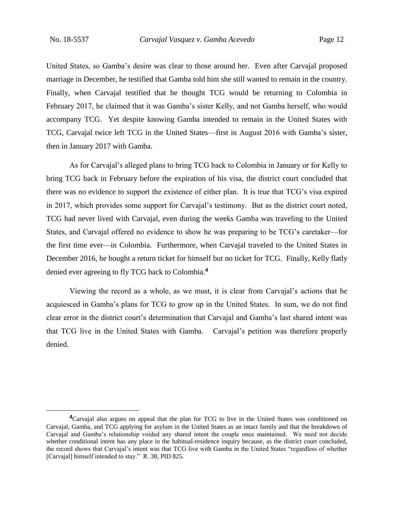United States, so Gamba's desire was clear to those around her. Even after Carvajal proposed marriage in December, he testified that Gamba told him she still wanted to remain in the country. Finally, when Carvajal testified that he thought TCG would be returning to Colombia in February 2017, he claimed that it was Gamba's sister Kelly, and not Gamba herself, who would accompany TCG. Yet despite knowing Gamba intended to remain in the United States with TCG, Carvajal twice left TCG in the United States—first in August 2016 with Gamba's sister, then in January 2017 with Gamba.

As for Carvajal's alleged plans to bring TCG back to Colombia in January or for Kelly to bring TCG back in February before the expiration of his visa, the district court concluded that there was no evidence to support the existence of either plan. It is true that TCG's visa expired in 2017, which provides some support for Carvajal's testimony. But as the district court noted, TCG had never lived with Carvajal, even during the weeks Gamba was traveling to the United States, and Carvajal offered no evidence to show he was preparing to be TCG's caretaker—for the first time ever—in Colombia. Furthermore, when Carvajal traveled to the United States in December 2016, he bought a return ticket for himself but no ticket for TCG. Finally, Kelly flatly denied ever agreeing to fly TCG back to Colombia.**<sup>4</sup>**

Viewing the record as a whole, as we must, it is clear from Carvajal's actions that he acquiesced in Gamba's plans for TCG to grow up in the United States. In sum, we do not find clear error in the district court's determination that Carvajal and Gamba's last shared intent was that TCG live in the United States with Gamba. Carvajal's petition was therefore properly denied.

**<sup>4</sup>**Carvajal also argues on appeal that the plan for TCG to live in the United States was conditioned on Carvajal, Gamba, and TCG applying for asylum in the United States as an intact family and that the breakdown of Carvajal and Gamba's relationship voided any shared intent the couple once maintained. We need not decide whether conditional intent has any place in the habitual-residence inquiry because, as the district court concluded, the record shows that Carvajal's intent was that TCG live with Gamba in the United States "regardless of whether [Carvajal] himself intended to stay." R. 38, PID 825.